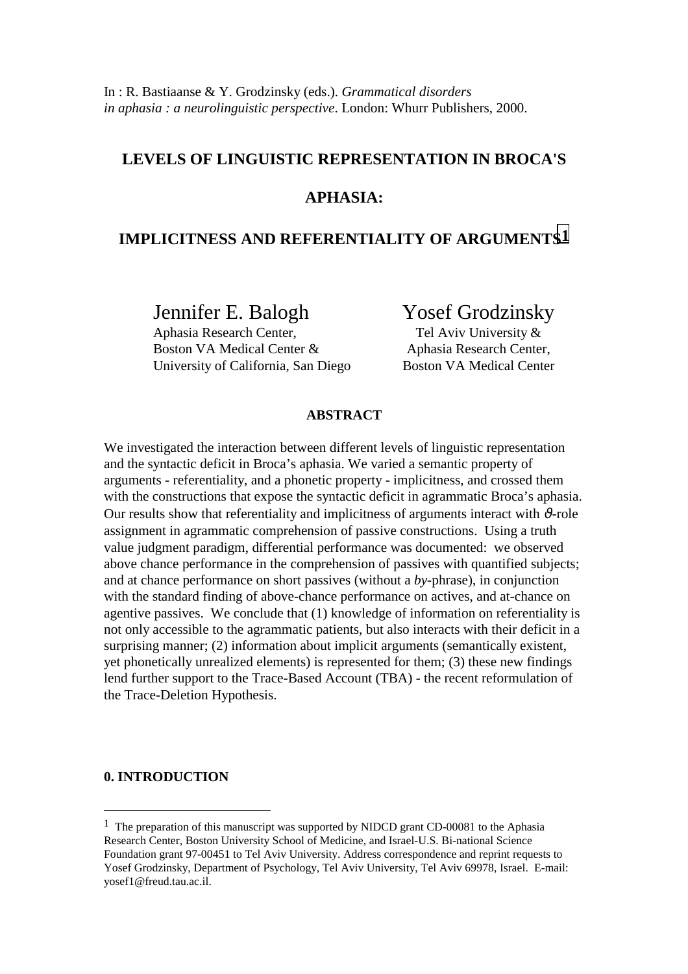# **LEVELS OF LINGUISTIC REPRESENTATION IN BROCA'S**

# **APHASIA:**

# **IMPLICITNESS AND REFERENTIALITY OF ARGUMENTS1**

Jennifer E. Balogh Yosef Grodzinsky

 Aphasia Research Center, Tel Aviv University & Boston VA Medical Center & Aphasia Research Center, University of California, San Diego Boston VA Medical Center

### **ABSTRACT**

We investigated the interaction between different levels of linguistic representation and the syntactic deficit in Broca's aphasia. We varied a semantic property of arguments - referentiality, and a phonetic property - implicitness, and crossed them with the constructions that expose the syntactic deficit in agrammatic Broca's aphasia. Our results show that referentiality and implicitness of arguments interact with  $\vartheta$ -role assignment in agrammatic comprehension of passive constructions. Using a truth value judgment paradigm, differential performance was documented: we observed above chance performance in the comprehension of passives with quantified subjects; and at chance performance on short passives (without a *by*-phrase), in conjunction with the standard finding of above-chance performance on actives, and at-chance on agentive passives. We conclude that (1) knowledge of information on referentiality is not only accessible to the agrammatic patients, but also interacts with their deficit in a surprising manner; (2) information about implicit arguments (semantically existent, yet phonetically unrealized elements) is represented for them; (3) these new findings lend further support to the Trace-Based Account (TBA) - the recent reformulation of the Trace-Deletion Hypothesis.

### **0. INTRODUCTION**

 $\overline{a}$ 

<sup>1</sup> The preparation of this manuscript was supported by NIDCD grant CD-00081 to the Aphasia Research Center, Boston University School of Medicine, and Israel-U.S. Bi-national Science Foundation grant 97-00451 to Tel Aviv University. Address correspondence and reprint requests to Yosef Grodzinsky, Department of Psychology, Tel Aviv University, Tel Aviv 69978, Israel. E-mail: yosef1@freud.tau.ac.il.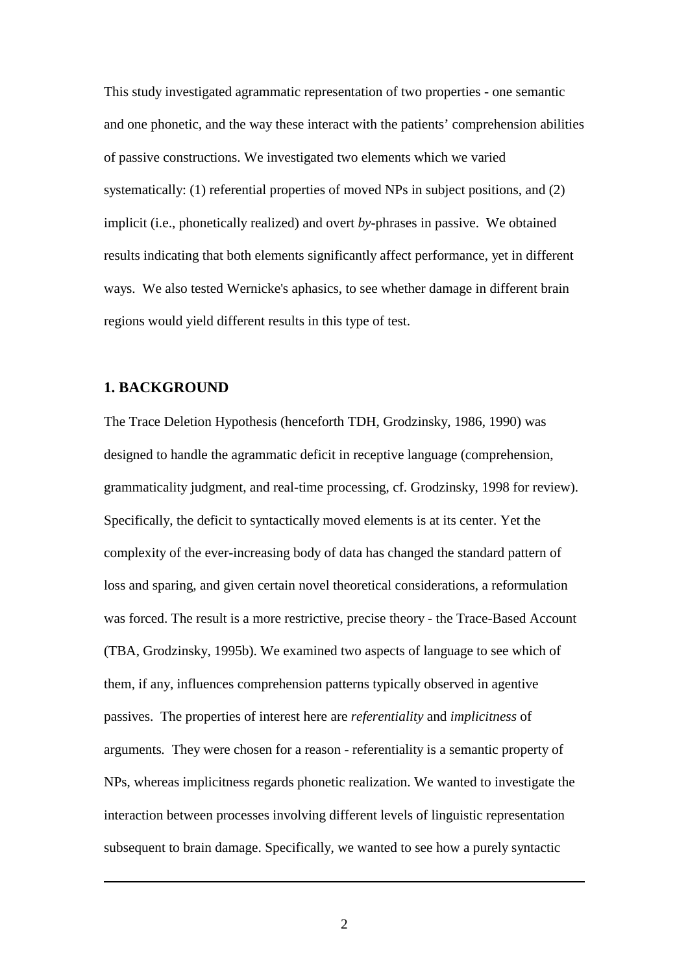This study investigated agrammatic representation of two properties - one semantic and one phonetic, and the way these interact with the patients' comprehension abilities of passive constructions. We investigated two elements which we varied systematically: (1) referential properties of moved NPs in subject positions, and (2) implicit (i.e., phonetically realized) and overt *by*-phrases in passive. We obtained results indicating that both elements significantly affect performance, yet in different ways. We also tested Wernicke's aphasics, to see whether damage in different brain regions would yield different results in this type of test.

# **1. BACKGROUND**

<u>.</u>

The Trace Deletion Hypothesis (henceforth TDH, Grodzinsky, 1986, 1990) was designed to handle the agrammatic deficit in receptive language (comprehension, grammaticality judgment, and real-time processing, cf. Grodzinsky, 1998 for review). Specifically, the deficit to syntactically moved elements is at its center. Yet the complexity of the ever-increasing body of data has changed the standard pattern of loss and sparing, and given certain novel theoretical considerations, a reformulation was forced. The result is a more restrictive, precise theory - the Trace-Based Account (TBA, Grodzinsky, 1995b). We examined two aspects of language to see which of them, if any, influences comprehension patterns typically observed in agentive passives. The properties of interest here are *referentiality* and *implicitness* of arguments*.* They were chosen for a reason - referentiality is a semantic property of NPs, whereas implicitness regards phonetic realization. We wanted to investigate the interaction between processes involving different levels of linguistic representation subsequent to brain damage. Specifically, we wanted to see how a purely syntactic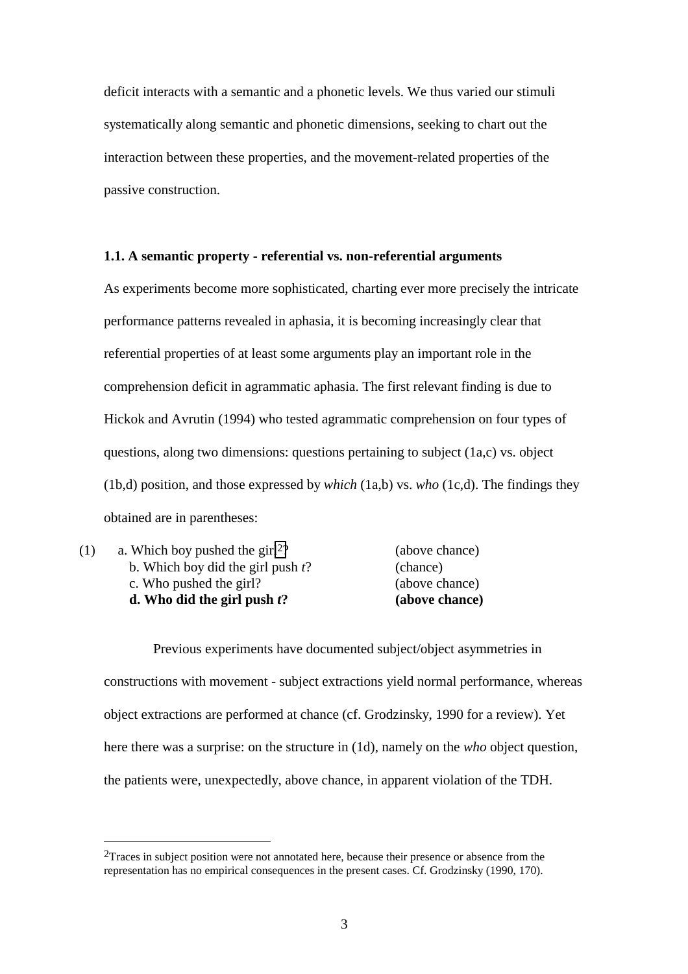deficit interacts with a semantic and a phonetic levels. We thus varied our stimuli systematically along semantic and phonetic dimensions, seeking to chart out the interaction between these properties, and the movement-related properties of the passive construction.

#### **1.1. A semantic property - referential vs. non-referential arguments**

As experiments become more sophisticated, charting ever more precisely the intricate performance patterns revealed in aphasia, it is becoming increasingly clear that referential properties of at least some arguments play an important role in the comprehension deficit in agrammatic aphasia. The first relevant finding is due to Hickok and Avrutin (1994) who tested agrammatic comprehension on four types of questions, along two dimensions: questions pertaining to subject (1a,c) vs. object (1b,d) position, and those expressed by *which* (1a,b) vs. *who* (1c,d). The findings they obtained are in parentheses:

|     | d. Who did the girl push $t$ ?             | (above chance) |
|-----|--------------------------------------------|----------------|
|     | c. Who pushed the girl?                    | (above chance) |
|     | b. Which boy did the girl push $t$ ?       | (chance)       |
| (1) | a. Which boy pushed the girl <sup>2?</sup> | (above chance) |

 Previous experiments have documented subject/object asymmetries in constructions with movement - subject extractions yield normal performance, whereas object extractions are performed at chance (cf. Grodzinsky, 1990 for a review). Yet here there was a surprise: on the structure in (1d), namely on the *who* object question, the patients were, unexpectedly, above chance, in apparent violation of the TDH.

 $\overline{a}$ 

 $2$ Traces in subject position were not annotated here, because their presence or absence from the representation has no empirical consequences in the present cases. Cf. Grodzinsky (1990, 170).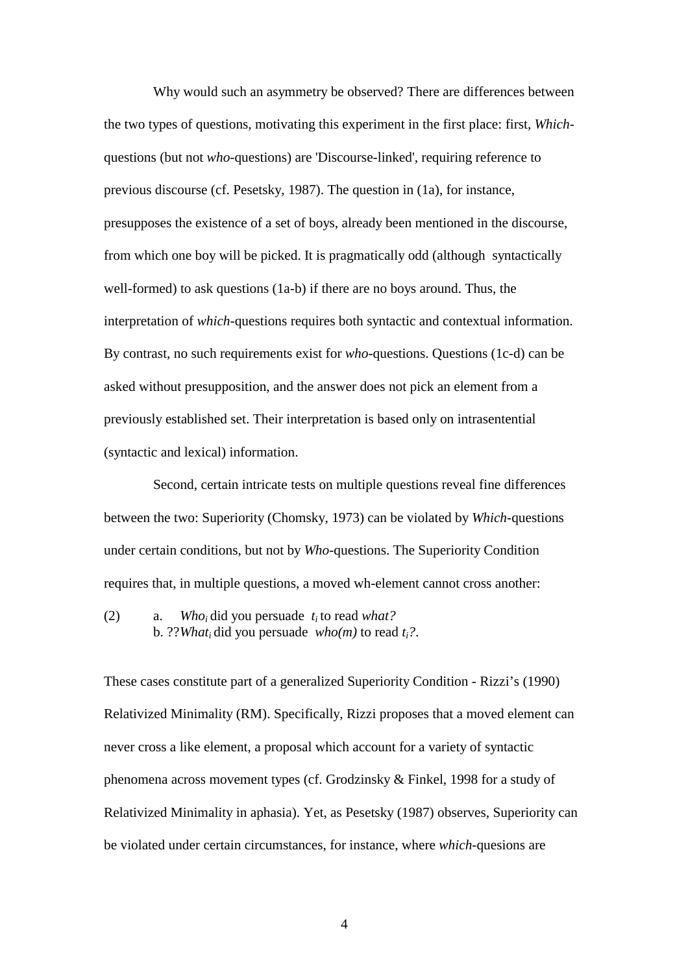Why would such an asymmetry be observed? There are differences between the two types of questions, motivating this experiment in the first place: first, *Which*questions (but not *who*-questions) are 'Discourse-linked', requiring reference to previous discourse (cf. Pesetsky, 1987). The question in (1a), for instance, presupposes the existence of a set of boys, already been mentioned in the discourse, from which one boy will be picked. It is pragmatically odd (although syntactically well-formed) to ask questions (1a-b) if there are no boys around. Thus, the interpretation of *which*-questions requires both syntactic and contextual information. By contrast, no such requirements exist for *who*-questions. Questions (1c-d) can be asked without presupposition, and the answer does not pick an element from a previously established set. Their interpretation is based only on intrasentential (syntactic and lexical) information.

 Second, certain intricate tests on multiple questions reveal fine differences between the two: Superiority (Chomsky, 1973) can be violated by *Which*-questions under certain conditions, but not by *Who*-questions. The Superiority Condition requires that, in multiple questions, a moved wh-element cannot cross another:

(2) a. *Whoi* did you persuade *ti* to read *what?* b. ??*Whati* did you persuade *who(m)* to read *ti?*.

These cases constitute part of a generalized Superiority Condition - Rizzi's (1990) Relativized Minimality (RM). Specifically, Rizzi proposes that a moved element can never cross a like element, a proposal which account for a variety of syntactic phenomena across movement types (cf. Grodzinsky & Finkel, 1998 for a study of Relativized Minimality in aphasia). Yet, as Pesetsky (1987) observes, Superiority can be violated under certain circumstances, for instance, where *which*-quesions are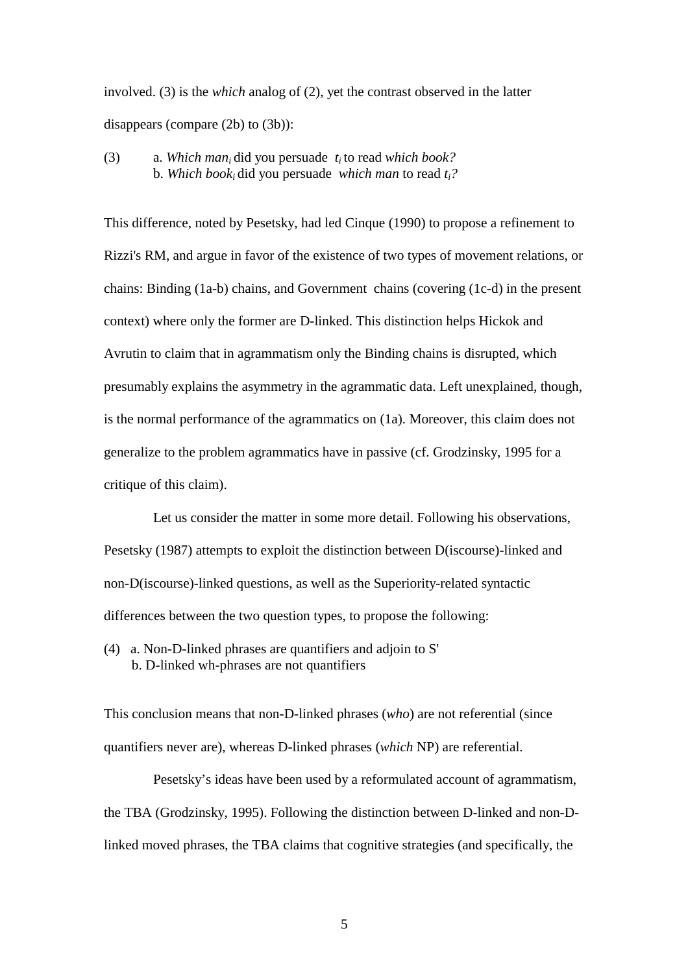involved. (3) is the *which* analog of (2), yet the contrast observed in the latter disappears (compare (2b) to (3b)):

# (3) a. *Which mani* did you persuade *ti* to read *which book?* b. *Which booki* did you persuade *which man* to read *ti?*

This difference, noted by Pesetsky, had led Cinque (1990) to propose a refinement to Rizzi's RM, and argue in favor of the existence of two types of movement relations, or chains: Binding (1a-b) chains, and Government chains (covering (1c-d) in the present context) where only the former are D-linked. This distinction helps Hickok and Avrutin to claim that in agrammatism only the Binding chains is disrupted, which presumably explains the asymmetry in the agrammatic data. Left unexplained, though, is the normal performance of the agrammatics on (1a). Moreover, this claim does not generalize to the problem agrammatics have in passive (cf. Grodzinsky, 1995 for a critique of this claim).

 Let us consider the matter in some more detail. Following his observations, Pesetsky (1987) attempts to exploit the distinction between D(iscourse)-linked and non-D(iscourse)-linked questions, as well as the Superiority-related syntactic differences between the two question types, to propose the following:

(4) a. Non-D-linked phrases are quantifiers and adjoin to S' b. D-linked wh-phrases are not quantifiers

This conclusion means that non-D-linked phrases (*who*) are not referential (since quantifiers never are), whereas D-linked phrases (*which* NP) are referential.

 Pesetsky's ideas have been used by a reformulated account of agrammatism, the TBA (Grodzinsky, 1995). Following the distinction between D-linked and non-Dlinked moved phrases, the TBA claims that cognitive strategies (and specifically, the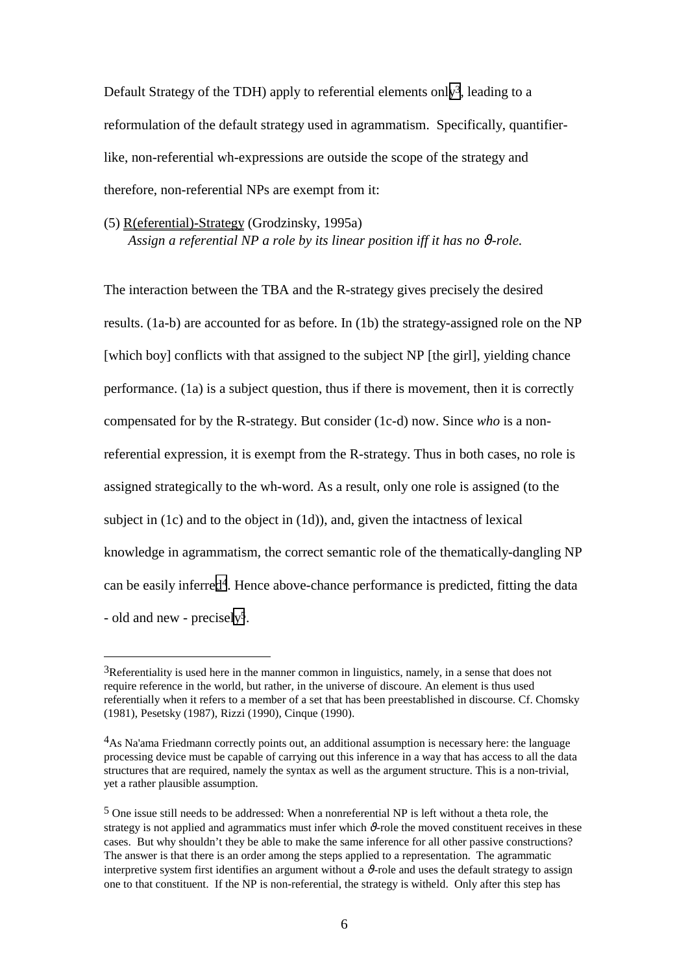Default Strategy of the TDH) apply to referential elements only<sup>3</sup>, leading to a reformulation of the default strategy used in agrammatism. Specifically, quantifierlike, non-referential wh-expressions are outside the scope of the strategy and therefore, non-referential NPs are exempt from it:

(5) R(eferential)-Strategy (Grodzinsky, 1995a) *Assign a referential NP a role by its linear position iff it has no θ-role.* 

The interaction between the TBA and the R-strategy gives precisely the desired results. (1a-b) are accounted for as before. In (1b) the strategy-assigned role on the NP [which boy] conflicts with that assigned to the subject NP [the girl], yielding chance performance. (1a) is a subject question, thus if there is movement, then it is correctly compensated for by the R-strategy. But consider (1c-d) now. Since *who* is a nonreferential expression, it is exempt from the R-strategy. Thus in both cases, no role is assigned strategically to the wh-word. As a result, only one role is assigned (to the subject in (1c) and to the object in (1d)), and, given the intactness of lexical knowledge in agrammatism, the correct semantic role of the thematically-dangling NP can be easily inferred4. Hence above-chance performance is predicted, fitting the data - old and new - precisely5.

 $\overline{a}$ 

 $3R$ eferentiality is used here in the manner common in linguistics, namely, in a sense that does not require reference in the world, but rather, in the universe of discoure. An element is thus used referentially when it refers to a member of a set that has been preestablished in discourse. Cf. Chomsky (1981), Pesetsky (1987), Rizzi (1990), Cinque (1990).

<sup>&</sup>lt;sup>4</sup>As Na'ama Friedmann correctly points out, an additional assumption is necessary here: the language processing device must be capable of carrying out this inference in a way that has access to all the data structures that are required, namely the syntax as well as the argument structure. This is a non-trivial, yet a rather plausible assumption.

<sup>5</sup> One issue still needs to be addressed: When a nonreferential NP is left without a theta role, the strategy is not applied and agrammatics must infer which  $\vartheta$ -role the moved constituent receives in these cases. But why shouldn't they be able to make the same inference for all other passive constructions? The answer is that there is an order among the steps applied to a representation. The agrammatic interpretive system first identifies an argument without a  $\vartheta$ -role and uses the default strategy to assign one to that constituent. If the NP is non-referential, the strategy is witheld. Only after this step has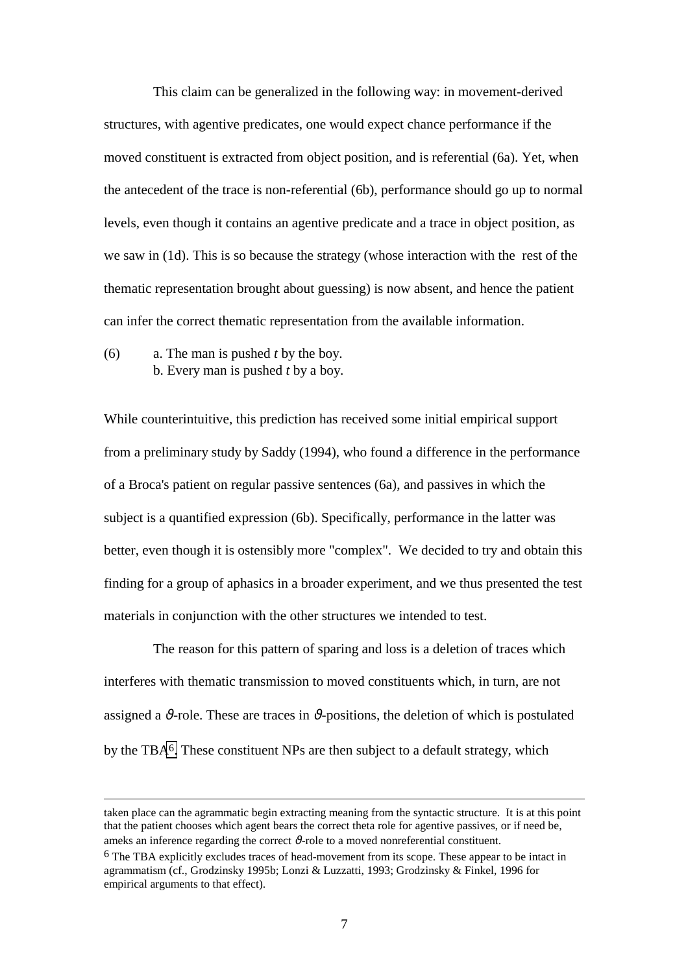This claim can be generalized in the following way: in movement-derived structures, with agentive predicates, one would expect chance performance if the moved constituent is extracted from object position, and is referential (6a). Yet, when the antecedent of the trace is non-referential (6b), performance should go up to normal levels, even though it contains an agentive predicate and a trace in object position, as we saw in (1d). This is so because the strategy (whose interaction with the rest of the thematic representation brought about guessing) is now absent, and hence the patient can infer the correct thematic representation from the available information.

(6) a. The man is pushed *t* by the boy. b. Every man is pushed *t* by a boy.

1

While counterintuitive, this prediction has received some initial empirical support from a preliminary study by Saddy (1994), who found a difference in the performance of a Broca's patient on regular passive sentences (6a), and passives in which the subject is a quantified expression (6b). Specifically, performance in the latter was better, even though it is ostensibly more "complex". We decided to try and obtain this finding for a group of aphasics in a broader experiment, and we thus presented the test materials in conjunction with the other structures we intended to test.

 The reason for this pattern of sparing and loss is a deletion of traces which interferes with thematic transmission to moved constituents which, in turn, are not assigned a  $\vartheta$ -role. These are traces in  $\vartheta$ -positions, the deletion of which is postulated by the TBA6. These constituent NPs are then subject to a default strategy, which

taken place can the agrammatic begin extracting meaning from the syntactic structure. It is at this point that the patient chooses which agent bears the correct theta role for agentive passives, or if need be, ameks an inference regarding the correct  $\vartheta$ -role to a moved nonreferential constituent.

<sup>6</sup> The TBA explicitly excludes traces of head-movement from its scope. These appear to be intact in agrammatism (cf., Grodzinsky 1995b; Lonzi & Luzzatti, 1993; Grodzinsky & Finkel, 1996 for empirical arguments to that effect).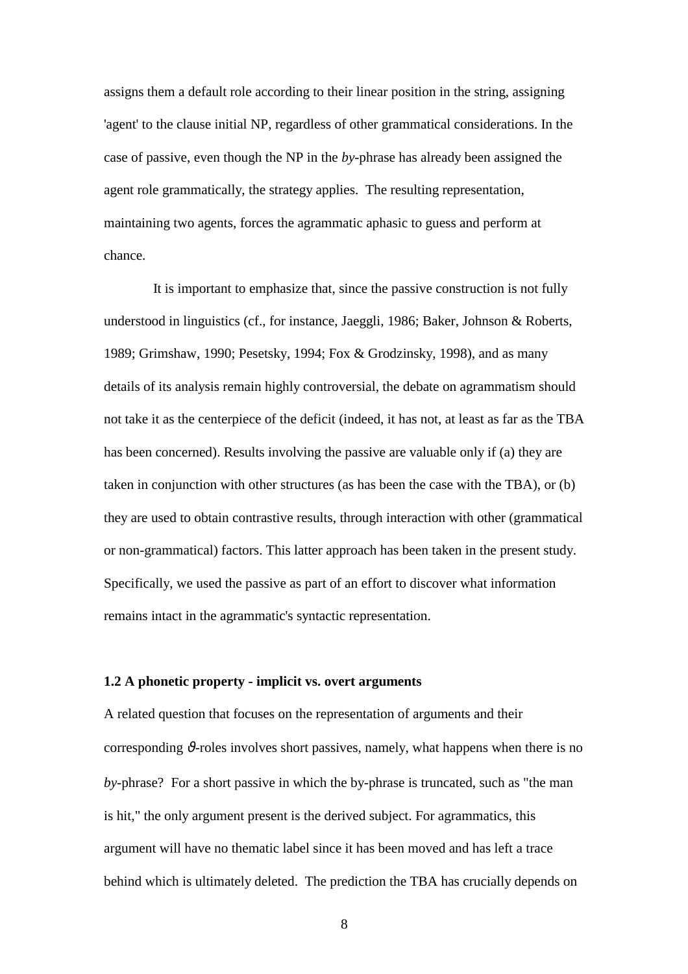assigns them a default role according to their linear position in the string, assigning 'agent' to the clause initial NP, regardless of other grammatical considerations. In the case of passive, even though the NP in the *by*-phrase has already been assigned the agent role grammatically, the strategy applies. The resulting representation, maintaining two agents, forces the agrammatic aphasic to guess and perform at chance.

 It is important to emphasize that, since the passive construction is not fully understood in linguistics (cf., for instance, Jaeggli, 1986; Baker, Johnson & Roberts, 1989; Grimshaw, 1990; Pesetsky, 1994; Fox & Grodzinsky, 1998), and as many details of its analysis remain highly controversial, the debate on agrammatism should not take it as the centerpiece of the deficit (indeed, it has not, at least as far as the TBA has been concerned). Results involving the passive are valuable only if (a) they are taken in conjunction with other structures (as has been the case with the TBA), or (b) they are used to obtain contrastive results, through interaction with other (grammatical or non-grammatical) factors. This latter approach has been taken in the present study. Specifically, we used the passive as part of an effort to discover what information remains intact in the agrammatic's syntactic representation.

### **1.2 A phonetic property - implicit vs. overt arguments**

A related question that focuses on the representation of arguments and their corresponding  $\vartheta$ -roles involves short passives, namely, what happens when there is no *by*-phrase? For a short passive in which the by-phrase is truncated, such as "the man is hit," the only argument present is the derived subject. For agrammatics, this argument will have no thematic label since it has been moved and has left a trace behind which is ultimately deleted. The prediction the TBA has crucially depends on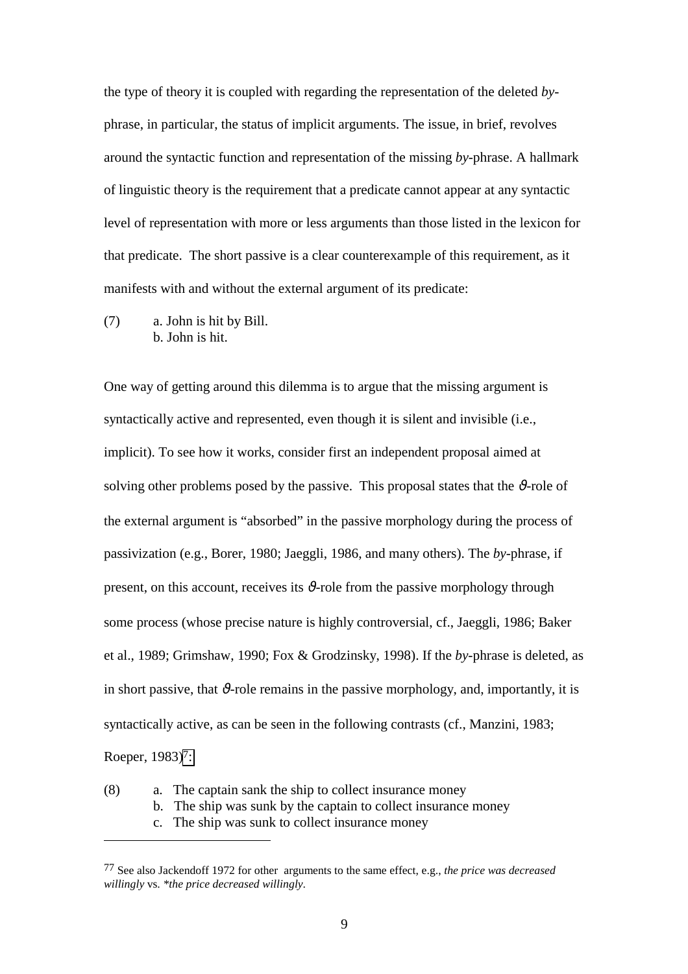the type of theory it is coupled with regarding the representation of the deleted *by*phrase, in particular, the status of implicit arguments. The issue, in brief, revolves around the syntactic function and representation of the missing *by*-phrase. A hallmark of linguistic theory is the requirement that a predicate cannot appear at any syntactic level of representation with more or less arguments than those listed in the lexicon for that predicate. The short passive is a clear counterexample of this requirement, as it manifests with and without the external argument of its predicate:

(7) a. John is hit by Bill. b. John is hit.

 $\overline{a}$ 

One way of getting around this dilemma is to argue that the missing argument is syntactically active and represented, even though it is silent and invisible (i.e., implicit). To see how it works, consider first an independent proposal aimed at solving other problems posed by the passive. This proposal states that the  $\vartheta$ -role of the external argument is "absorbed" in the passive morphology during the process of passivization (e.g., Borer, 1980; Jaeggli, 1986, and many others). The *by*-phrase, if present, on this account, receives its  $\vartheta$ -role from the passive morphology through some process (whose precise nature is highly controversial, cf., Jaeggli, 1986; Baker et al., 1989; Grimshaw, 1990; Fox & Grodzinsky, 1998). If the *by*-phrase is deleted, as in short passive, that  $\vartheta$ -role remains in the passive morphology, and, importantly, it is syntactically active, as can be seen in the following contrasts (cf., Manzini, 1983; Roeper, 1983)<sup>7</sup>:

- (8) a. The captain sank the ship to collect insurance money
	- b. The ship was sunk by the captain to collect insurance money
		- c. The ship was sunk to collect insurance money

<sup>77</sup> See also Jackendoff 1972 for other arguments to the same effect, e.g., *the price was decreased willingly* vs. *\*the price decreased willingly*.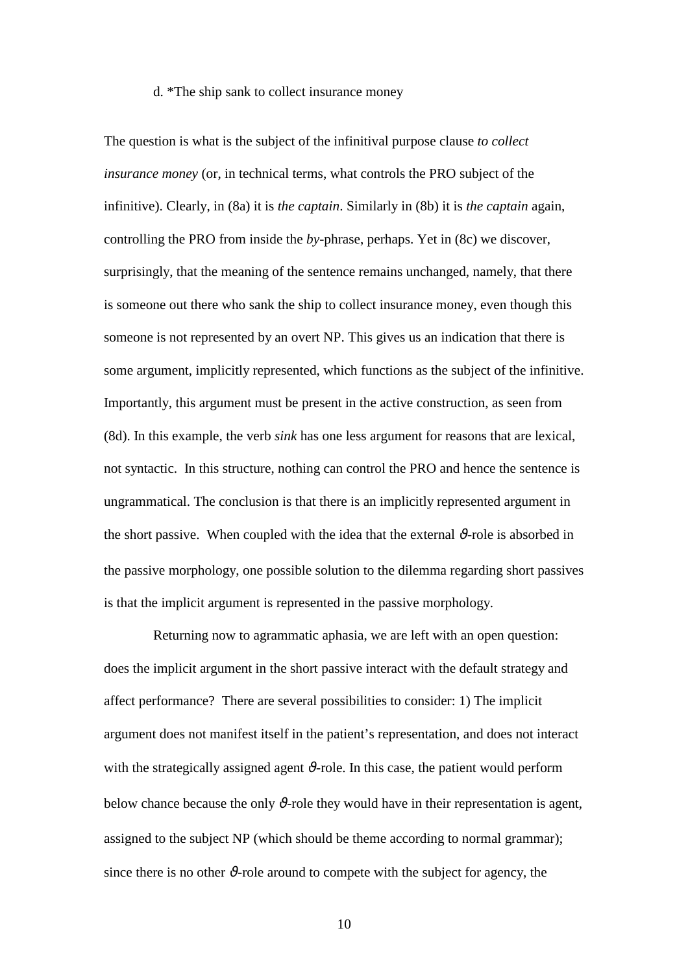#### d. \*The ship sank to collect insurance money

The question is what is the subject of the infinitival purpose clause *to collect insurance money* (or, in technical terms, what controls the PRO subject of the infinitive). Clearly, in (8a) it is *the captain*. Similarly in (8b) it is *the captain* again, controlling the PRO from inside the *by*-phrase, perhaps. Yet in (8c) we discover, surprisingly, that the meaning of the sentence remains unchanged, namely, that there is someone out there who sank the ship to collect insurance money, even though this someone is not represented by an overt NP. This gives us an indication that there is some argument, implicitly represented, which functions as the subject of the infinitive. Importantly, this argument must be present in the active construction, as seen from (8d). In this example, the verb *sink* has one less argument for reasons that are lexical, not syntactic. In this structure, nothing can control the PRO and hence the sentence is ungrammatical. The conclusion is that there is an implicitly represented argument in the short passive. When coupled with the idea that the external  $\vartheta$ -role is absorbed in the passive morphology, one possible solution to the dilemma regarding short passives is that the implicit argument is represented in the passive morphology.

 Returning now to agrammatic aphasia, we are left with an open question: does the implicit argument in the short passive interact with the default strategy and affect performance? There are several possibilities to consider: 1) The implicit argument does not manifest itself in the patient's representation, and does not interact with the strategically assigned agent  $\vartheta$ -role. In this case, the patient would perform below chance because the only  $\vartheta$ -role they would have in their representation is agent, assigned to the subject NP (which should be theme according to normal grammar); since there is no other  $\mathcal{V}$ -role around to compete with the subject for agency, the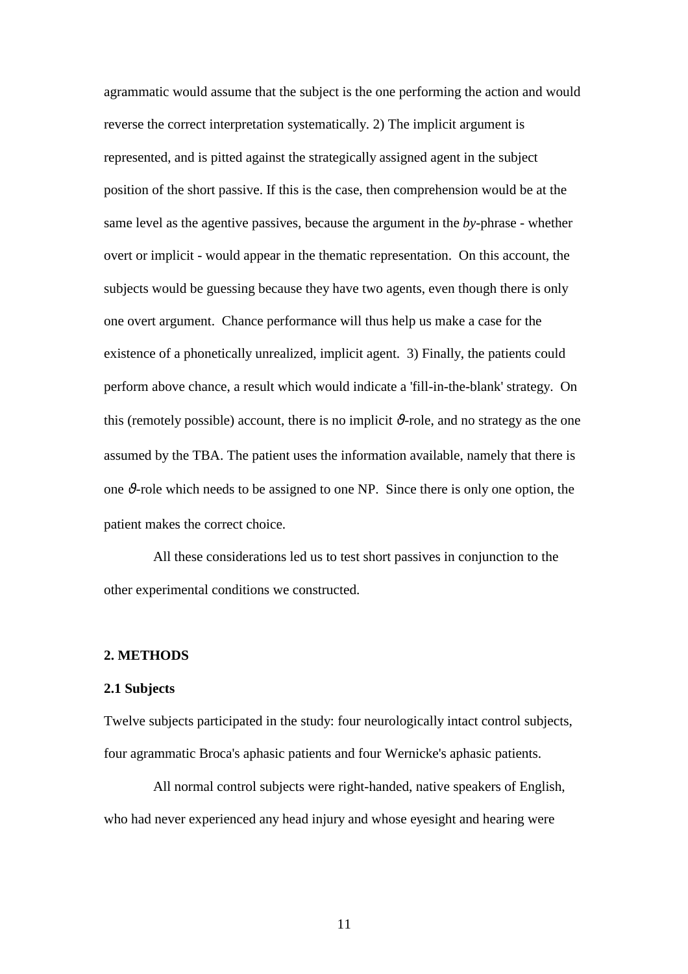agrammatic would assume that the subject is the one performing the action and would reverse the correct interpretation systematically. 2) The implicit argument is represented, and is pitted against the strategically assigned agent in the subject position of the short passive. If this is the case, then comprehension would be at the same level as the agentive passives, because the argument in the *by*-phrase - whether overt or implicit - would appear in the thematic representation. On this account, the subjects would be guessing because they have two agents, even though there is only one overt argument. Chance performance will thus help us make a case for the existence of a phonetically unrealized, implicit agent. 3) Finally, the patients could perform above chance, a result which would indicate a 'fill-in-the-blank' strategy. On this (remotely possible) account, there is no implicit  $\vartheta$ -role, and no strategy as the one assumed by the TBA. The patient uses the information available, namely that there is one ϑ*-*role which needs to be assigned to one NP. Since there is only one option, the patient makes the correct choice.

 All these considerations led us to test short passives in conjunction to the other experimental conditions we constructed.

## **2. METHODS**

#### **2.1 Subjects**

Twelve subjects participated in the study: four neurologically intact control subjects, four agrammatic Broca's aphasic patients and four Wernicke's aphasic patients.

 All normal control subjects were right-handed, native speakers of English, who had never experienced any head injury and whose eyesight and hearing were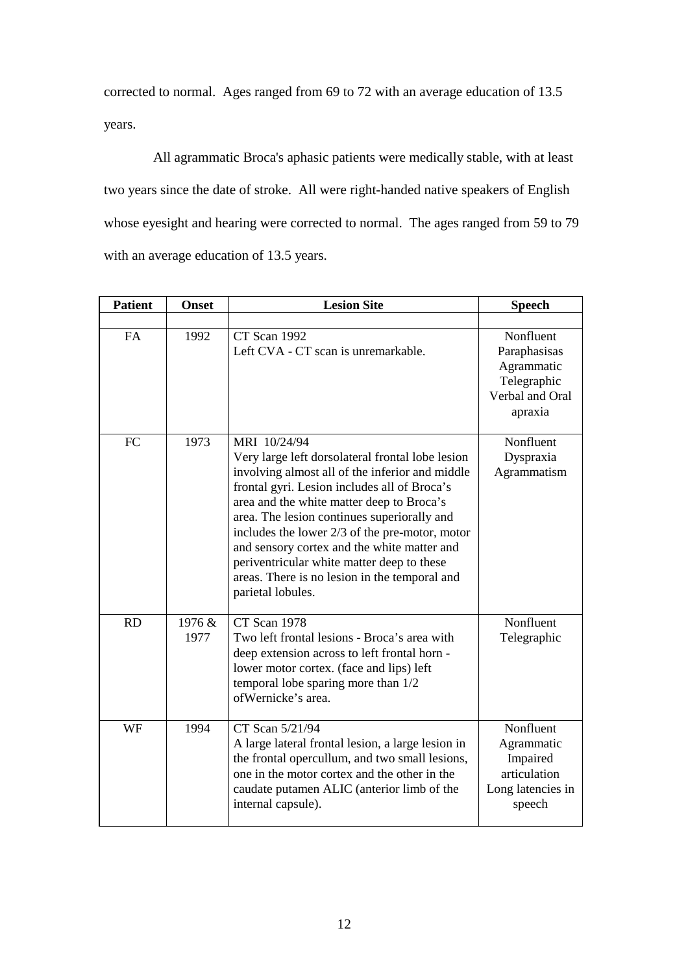corrected to normal. Ages ranged from 69 to 72 with an average education of 13.5 years.

 All agrammatic Broca's aphasic patients were medically stable, with at least two years since the date of stroke. All were right-handed native speakers of English whose eyesight and hearing were corrected to normal. The ages ranged from 59 to 79 with an average education of 13.5 years.

| <b>Patient</b> | <b>Onset</b>   | <b>Lesion Site</b>                                                                                                                                                                                                                                                                                                                                                                                                                                                                     | <b>Speech</b>                                                                        |
|----------------|----------------|----------------------------------------------------------------------------------------------------------------------------------------------------------------------------------------------------------------------------------------------------------------------------------------------------------------------------------------------------------------------------------------------------------------------------------------------------------------------------------------|--------------------------------------------------------------------------------------|
| <b>FA</b>      | 1992           | CT Scan 1992<br>Left CVA - CT scan is unremarkable.                                                                                                                                                                                                                                                                                                                                                                                                                                    | Nonfluent<br>Paraphasisas<br>Agrammatic<br>Telegraphic<br>Verbal and Oral<br>apraxia |
| FC             | 1973           | MRI 10/24/94<br>Very large left dorsolateral frontal lobe lesion<br>involving almost all of the inferior and middle<br>frontal gyri. Lesion includes all of Broca's<br>area and the white matter deep to Broca's<br>area. The lesion continues superiorally and<br>includes the lower $2/3$ of the pre-motor, motor<br>and sensory cortex and the white matter and<br>periventricular white matter deep to these<br>areas. There is no lesion in the temporal and<br>parietal lobules. | Nonfluent<br>Dyspraxia<br>Agrammatism                                                |
| <b>RD</b>      | 1976 &<br>1977 | CT Scan 1978<br>Two left frontal lesions - Broca's area with<br>deep extension across to left frontal horn -<br>lower motor cortex. (face and lips) left<br>temporal lobe sparing more than $1/2$<br>ofWernicke's area.                                                                                                                                                                                                                                                                | Nonfluent<br>Telegraphic                                                             |
| WF             | 1994           | CT Scan 5/21/94<br>A large lateral frontal lesion, a large lesion in<br>the frontal opercullum, and two small lesions,<br>one in the motor cortex and the other in the<br>caudate putamen ALIC (anterior limb of the<br>internal capsule).                                                                                                                                                                                                                                             | Nonfluent<br>Agrammatic<br>Impaired<br>articulation<br>Long latencies in<br>speech   |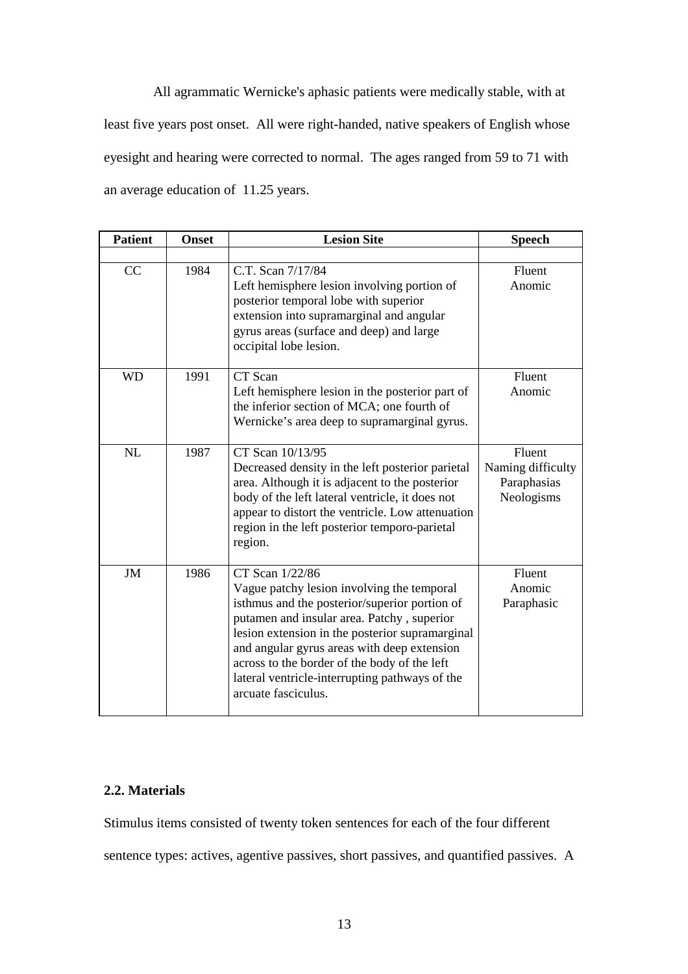All agrammatic Wernicke's aphasic patients were medically stable, with at least five years post onset. All were right-handed, native speakers of English whose eyesight and hearing were corrected to normal. The ages ranged from 59 to 71 with an average education of 11.25 years.

| <b>Patient</b> | <b>Onset</b> | <b>Lesion Site</b>                                                                                                                                                                                                                                                                                                                                                                      | <b>Speech</b>                                            |
|----------------|--------------|-----------------------------------------------------------------------------------------------------------------------------------------------------------------------------------------------------------------------------------------------------------------------------------------------------------------------------------------------------------------------------------------|----------------------------------------------------------|
|                |              |                                                                                                                                                                                                                                                                                                                                                                                         |                                                          |
| CC             | 1984         | C.T. Scan 7/17/84<br>Left hemisphere lesion involving portion of<br>posterior temporal lobe with superior<br>extension into supramarginal and angular<br>gyrus areas (surface and deep) and large<br>occipital lobe lesion.                                                                                                                                                             | Fluent<br>Anomic                                         |
| <b>WD</b>      | 1991         | CT Scan<br>Left hemisphere lesion in the posterior part of<br>the inferior section of MCA; one fourth of<br>Wernicke's area deep to supramarginal gyrus.                                                                                                                                                                                                                                | Fluent<br>Anomic                                         |
| NL             | 1987         | CT Scan 10/13/95<br>Decreased density in the left posterior parietal<br>area. Although it is adjacent to the posterior<br>body of the left lateral ventricle, it does not<br>appear to distort the ventricle. Low attenuation<br>region in the left posterior temporo-parietal<br>region.                                                                                               | Fluent<br>Naming difficulty<br>Paraphasias<br>Neologisms |
| <b>JM</b>      | 1986         | CT Scan 1/22/86<br>Vague patchy lesion involving the temporal<br>isthmus and the posterior/superior portion of<br>putamen and insular area. Patchy, superior<br>lesion extension in the posterior supramarginal<br>and angular gyrus areas with deep extension<br>across to the border of the body of the left<br>lateral ventricle-interrupting pathways of the<br>arcuate fasciculus. | Fluent<br>Anomic<br>Paraphasic                           |

# **2.2. Materials**

Stimulus items consisted of twenty token sentences for each of the four different sentence types: actives, agentive passives, short passives, and quantified passives. A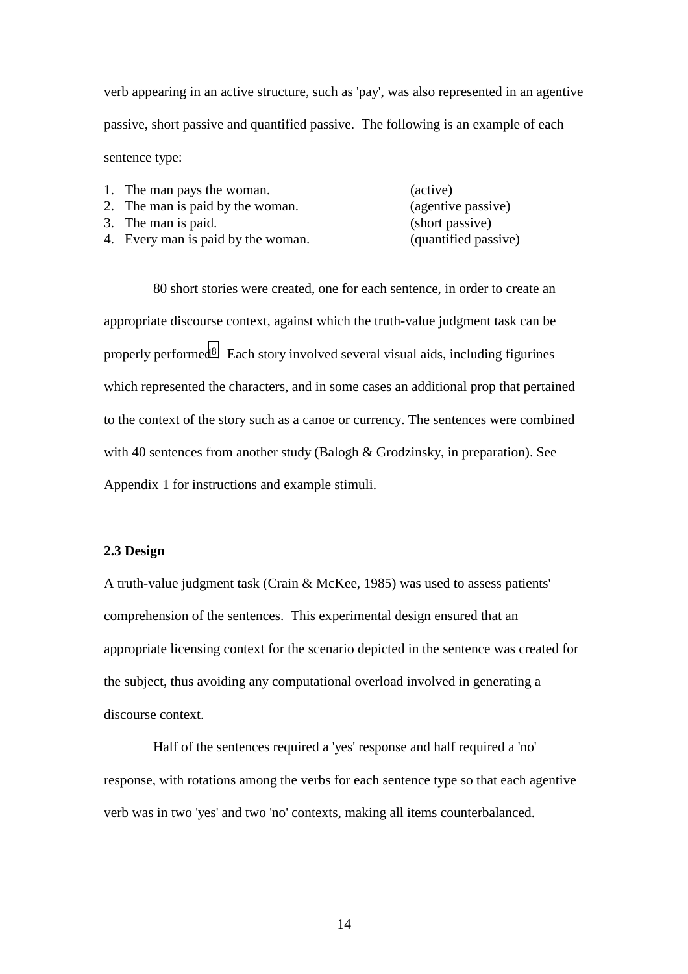verb appearing in an active structure, such as 'pay', was also represented in an agentive passive, short passive and quantified passive. The following is an example of each sentence type:

| 1. The man pays the woman.         | (active)             |
|------------------------------------|----------------------|
| 2. The man is paid by the woman.   | (agentive passive)   |
| 3. The man is paid.                | (short passive)      |
| 4. Every man is paid by the woman. | (quantified passive) |

 80 short stories were created, one for each sentence, in order to create an appropriate discourse context, against which the truth-value judgment task can be properly performed8. Each story involved several visual aids, including figurines which represented the characters, and in some cases an additional prop that pertained to the context of the story such as a canoe or currency. The sentences were combined with 40 sentences from another study (Balogh & Grodzinsky, in preparation). See Appendix 1 for instructions and example stimuli.

## **2.3 Design**

A truth-value judgment task (Crain & McKee, 1985) was used to assess patients' comprehension of the sentences. This experimental design ensured that an appropriate licensing context for the scenario depicted in the sentence was created for the subject, thus avoiding any computational overload involved in generating a discourse context.

 Half of the sentences required a 'yes' response and half required a 'no' response, with rotations among the verbs for each sentence type so that each agentive verb was in two 'yes' and two 'no' contexts, making all items counterbalanced.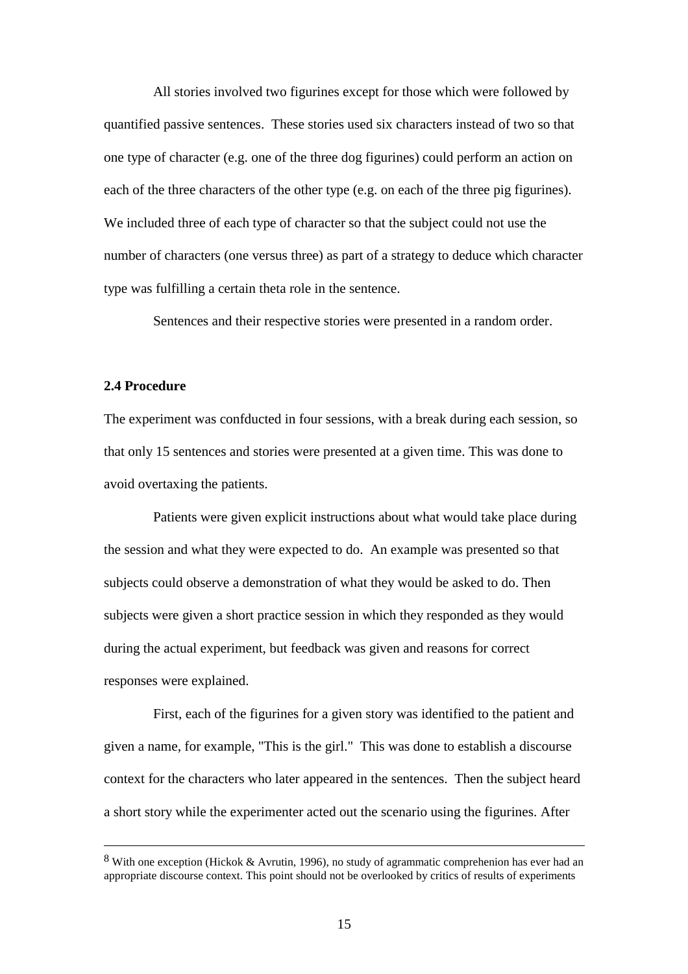All stories involved two figurines except for those which were followed by quantified passive sentences. These stories used six characters instead of two so that one type of character (e.g. one of the three dog figurines) could perform an action on each of the three characters of the other type (e.g. on each of the three pig figurines). We included three of each type of character so that the subject could not use the number of characters (one versus three) as part of a strategy to deduce which character type was fulfilling a certain theta role in the sentence.

Sentences and their respective stories were presented in a random order.

### **2.4 Procedure**

The experiment was confducted in four sessions, with a break during each session, so that only 15 sentences and stories were presented at a given time. This was done to avoid overtaxing the patients.

 Patients were given explicit instructions about what would take place during the session and what they were expected to do. An example was presented so that subjects could observe a demonstration of what they would be asked to do. Then subjects were given a short practice session in which they responded as they would during the actual experiment, but feedback was given and reasons for correct responses were explained.

 First, each of the figurines for a given story was identified to the patient and given a name, for example, "This is the girl." This was done to establish a discourse context for the characters who later appeared in the sentences. Then the subject heard a short story while the experimenter acted out the scenario using the figurines. After

 <sup>8</sup> With one exception (Hickok & Avrutin, 1996), no study of agrammatic comprehenion has ever had an appropriate discourse context. This point should not be overlooked by critics of results of experiments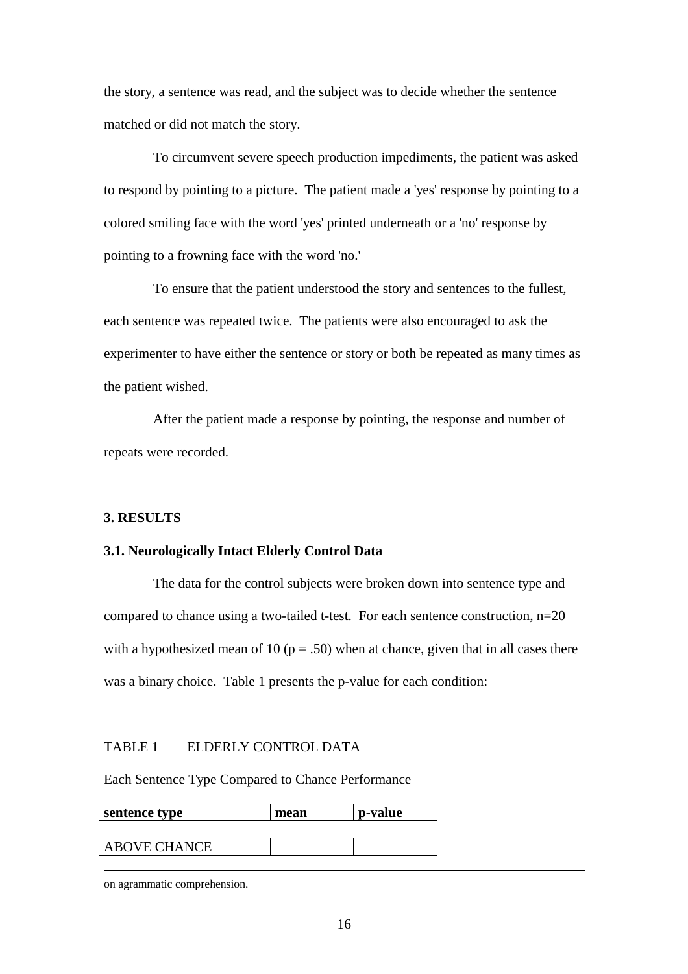the story, a sentence was read, and the subject was to decide whether the sentence matched or did not match the story.

 To circumvent severe speech production impediments, the patient was asked to respond by pointing to a picture. The patient made a 'yes' response by pointing to a colored smiling face with the word 'yes' printed underneath or a 'no' response by pointing to a frowning face with the word 'no.'

 To ensure that the patient understood the story and sentences to the fullest, each sentence was repeated twice. The patients were also encouraged to ask the experimenter to have either the sentence or story or both be repeated as many times as the patient wished.

 After the patient made a response by pointing, the response and number of repeats were recorded.

## **3. RESULTS**

# **3.1. Neurologically Intact Elderly Control Data**

 The data for the control subjects were broken down into sentence type and compared to chance using a two-tailed t-test. For each sentence construction, n=20 with a hypothesized mean of 10 ( $p = .50$ ) when at chance, given that in all cases there was a binary choice. Table 1 presents the p-value for each condition:

### TABLE 1 ELDERLY CONTROL DATA

Each Sentence Type Compared to Chance Performance

| sentence type       | mean | p-value |
|---------------------|------|---------|
|                     |      |         |
| <b>ABOVE CHANCE</b> |      |         |

<u>.</u>

on agrammatic comprehension.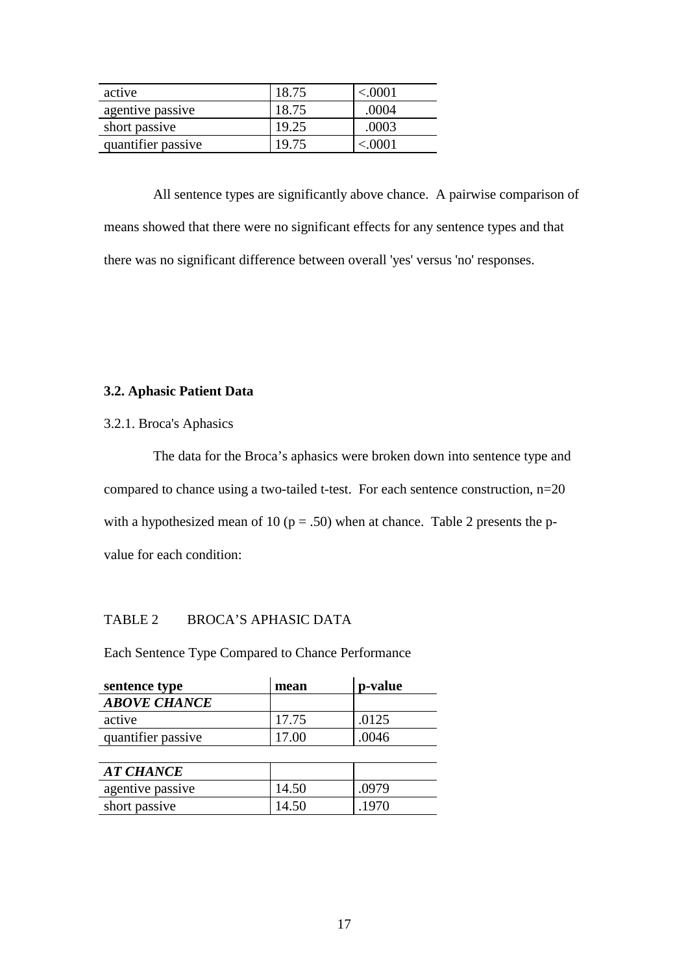| active             | 18.75 | $<\!\!.0001$ |
|--------------------|-------|--------------|
| agentive passive   | 18.75 | .0004        |
| short passive      | 19.25 | .0003        |
| quantifier passive | 19.75 | < 0001       |

 All sentence types are significantly above chance. A pairwise comparison of means showed that there were no significant effects for any sentence types and that there was no significant difference between overall 'yes' versus 'no' responses.

# **3.2. Aphasic Patient Data**

3.2.1. Broca's Aphasics

 The data for the Broca's aphasics were broken down into sentence type and compared to chance using a two-tailed t-test. For each sentence construction, n=20 with a hypothesized mean of 10 ( $p = .50$ ) when at chance. Table 2 presents the pvalue for each condition:

# TABLE 2 BROCA'S APHASIC DATA

Each Sentence Type Compared to Chance Performance

| sentence type       | mean  | p-value |
|---------------------|-------|---------|
| <b>ABOVE CHANCE</b> |       |         |
| active              | 17.75 | .0125   |
| quantifier passive  | 17.00 | .0046   |
|                     |       |         |
| <b>AT CHANCE</b>    |       |         |
| agentive passive    | 14.50 | .0979   |
| short passive       | 14.50 | .1970   |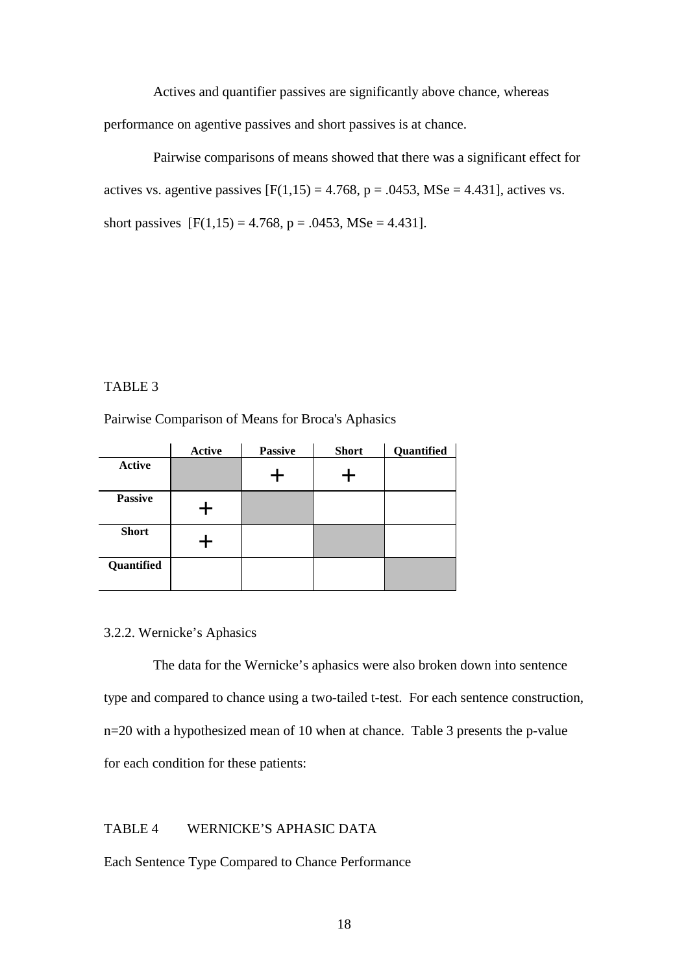Actives and quantifier passives are significantly above chance, whereas performance on agentive passives and short passives is at chance.

 Pairwise comparisons of means showed that there was a significant effect for actives vs. agentive passives  $[F(1,15) = 4.768, p = .0453, \text{MSe} = 4.431]$ , actives vs. short passives  $[F(1,15) = 4.768, p = .0453, MSe = 4.431].$ 

### TABLE 3

Pairwise Comparison of Means for Broca's Aphasics

|                | <b>Active</b> | <b>Passive</b> | <b>Short</b> | Quantified |
|----------------|---------------|----------------|--------------|------------|
| <b>Active</b>  |               |                |              |            |
| <b>Passive</b> |               |                |              |            |
| <b>Short</b>   |               |                |              |            |
| Quantified     |               |                |              |            |

## 3.2.2. Wernicke's Aphasics

 The data for the Wernicke's aphasics were also broken down into sentence type and compared to chance using a two-tailed t-test. For each sentence construction, n=20 with a hypothesized mean of 10 when at chance. Table 3 presents the p-value for each condition for these patients:

### TABLE 4 WERNICKE'S APHASIC DATA

Each Sentence Type Compared to Chance Performance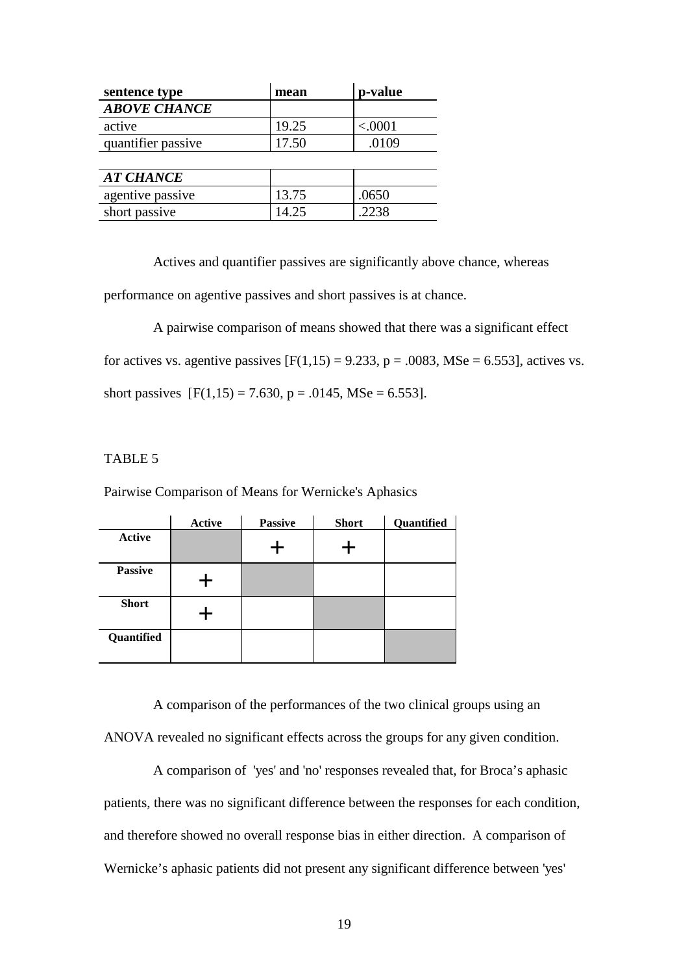| sentence type       | mean  | p-value |
|---------------------|-------|---------|
| <b>ABOVE CHANCE</b> |       |         |
| active              | 19.25 | < .0001 |
| quantifier passive  | 17.50 | .0109   |
|                     |       |         |
| <b>AT CHANCE</b>    |       |         |
| agentive passive    | 13.75 | .0650   |
| short passive       | 14.25 | .2238   |

Actives and quantifier passives are significantly above chance, whereas

performance on agentive passives and short passives is at chance.

 A pairwise comparison of means showed that there was a significant effect for actives vs. agentive passives  $[F(1,15) = 9.233, p = .0083, MSe = 6.553]$ , actives vs. short passives  $[F(1,15) = 7.630, p = .0145, \text{MSe} = 6.553]$ .

# TABLE 5

Pairwise Comparison of Means for Wernicke's Aphasics

|                | <b>Active</b> | <b>Passive</b> | <b>Short</b> | Quantified |
|----------------|---------------|----------------|--------------|------------|
| <b>Active</b>  |               |                |              |            |
| <b>Passive</b> |               |                |              |            |
| <b>Short</b>   |               |                |              |            |
| Quantified     |               |                |              |            |

 A comparison of the performances of the two clinical groups using an ANOVA revealed no significant effects across the groups for any given condition.

 A comparison of 'yes' and 'no' responses revealed that, for Broca's aphasic patients, there was no significant difference between the responses for each condition, and therefore showed no overall response bias in either direction. A comparison of Wernicke's aphasic patients did not present any significant difference between 'yes'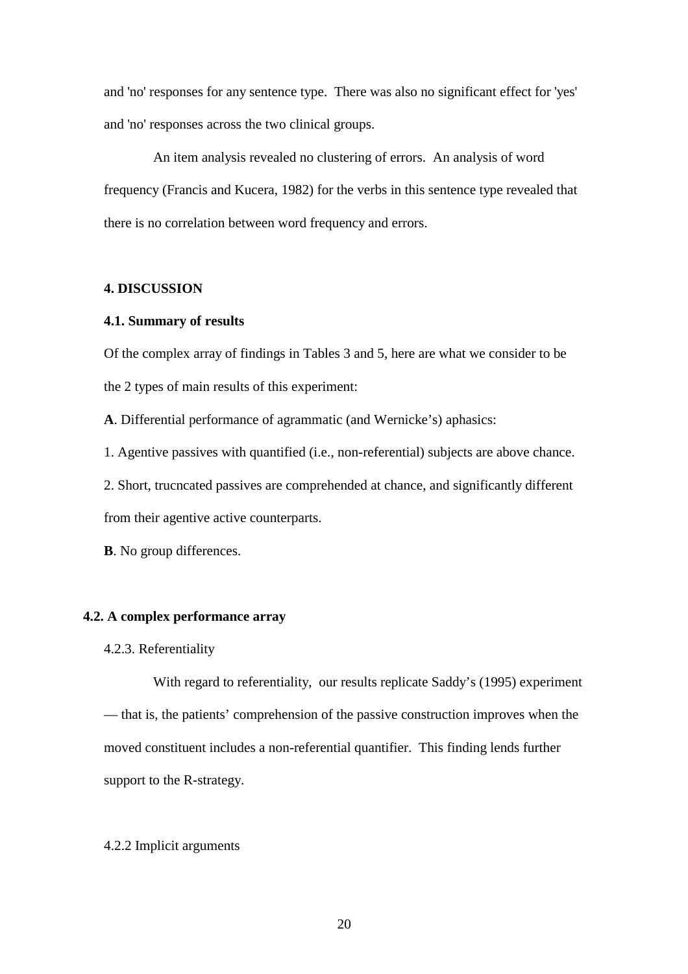and 'no' responses for any sentence type. There was also no significant effect for 'yes' and 'no' responses across the two clinical groups.

 An item analysis revealed no clustering of errors. An analysis of word frequency (Francis and Kucera, 1982) for the verbs in this sentence type revealed that there is no correlation between word frequency and errors.

### **4. DISCUSSION**

#### **4.1. Summary of results**

Of the complex array of findings in Tables 3 and 5, here are what we consider to be the 2 types of main results of this experiment:

**A**. Differential performance of agrammatic (and Wernicke's) aphasics:

1. Agentive passives with quantified (i.e., non-referential) subjects are above chance.

2. Short, trucncated passives are comprehended at chance, and significantly different from their agentive active counterparts.

**B**. No group differences.

#### **4.2. A complex performance array**

### 4.2.3. Referentiality

 With regard to referentiality, our results replicate Saddy's (1995) experiment — that is, the patients' comprehension of the passive construction improves when the moved constituent includes a non-referential quantifier. This finding lends further support to the R-strategy.

### 4.2.2 Implicit arguments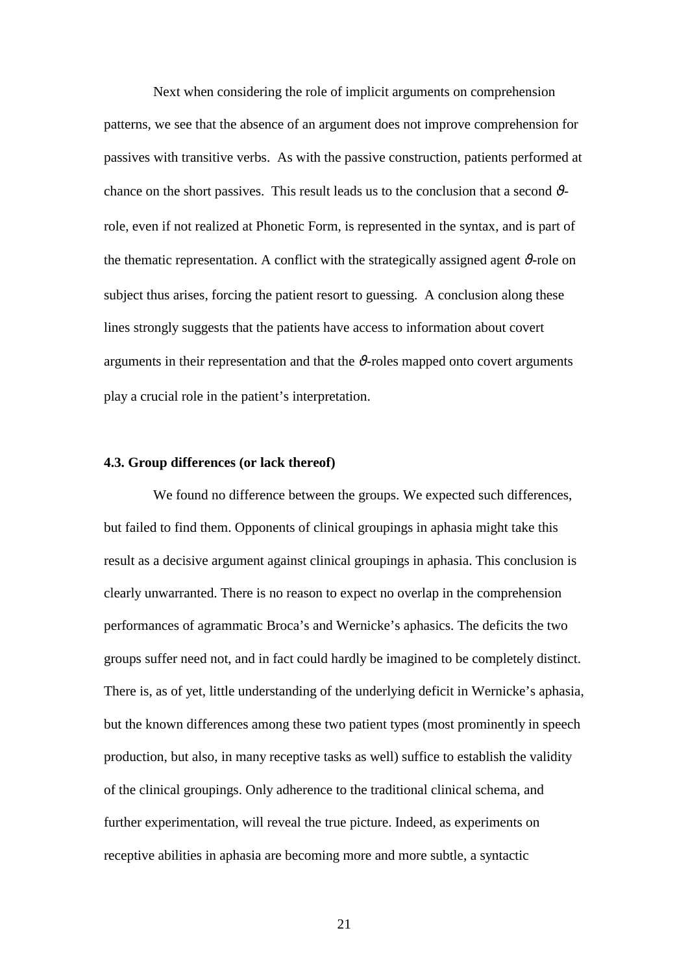Next when considering the role of implicit arguments on comprehension patterns, we see that the absence of an argument does not improve comprehension for passives with transitive verbs. As with the passive construction, patients performed at chance on the short passives. This result leads us to the conclusion that a second  $\vartheta$ role, even if not realized at Phonetic Form, is represented in the syntax, and is part of the thematic representation. A conflict with the strategically assigned agent  $\vartheta$ -role on subject thus arises, forcing the patient resort to guessing. A conclusion along these lines strongly suggests that the patients have access to information about covert arguments in their representation and that the  $\vartheta$ -roles mapped onto covert arguments play a crucial role in the patient's interpretation.

### **4.3. Group differences (or lack thereof)**

 We found no difference between the groups. We expected such differences, but failed to find them. Opponents of clinical groupings in aphasia might take this result as a decisive argument against clinical groupings in aphasia. This conclusion is clearly unwarranted. There is no reason to expect no overlap in the comprehension performances of agrammatic Broca's and Wernicke's aphasics. The deficits the two groups suffer need not, and in fact could hardly be imagined to be completely distinct. There is, as of yet, little understanding of the underlying deficit in Wernicke's aphasia, but the known differences among these two patient types (most prominently in speech production, but also, in many receptive tasks as well) suffice to establish the validity of the clinical groupings. Only adherence to the traditional clinical schema, and further experimentation, will reveal the true picture. Indeed, as experiments on receptive abilities in aphasia are becoming more and more subtle, a syntactic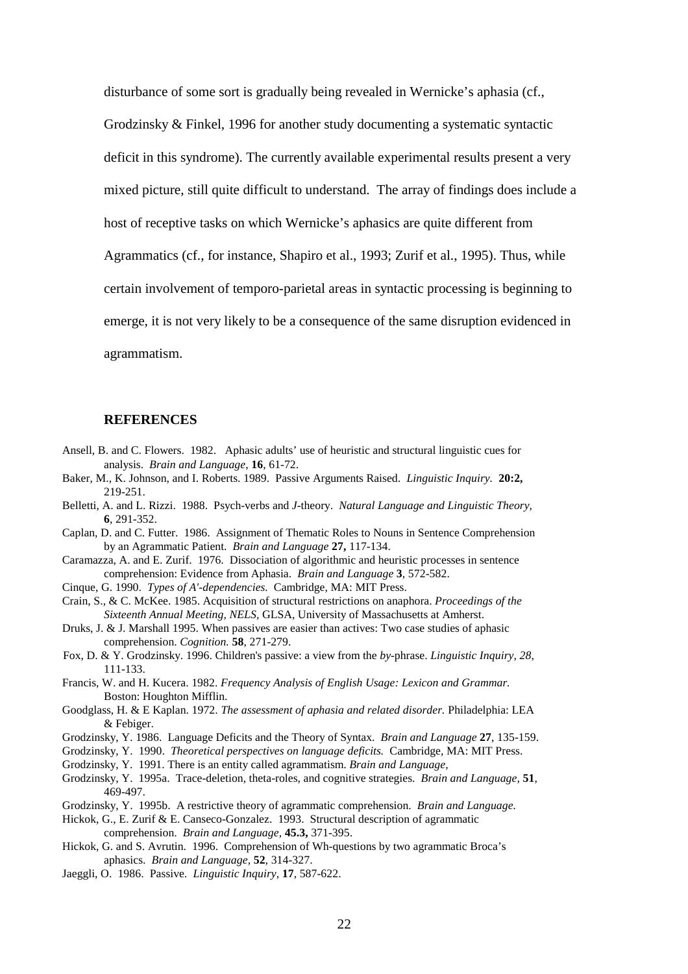disturbance of some sort is gradually being revealed in Wernicke's aphasia (cf.,

Grodzinsky & Finkel, 1996 for another study documenting a systematic syntactic

deficit in this syndrome). The currently available experimental results present a very

mixed picture, still quite difficult to understand. The array of findings does include a

host of receptive tasks on which Wernicke's aphasics are quite different from

Agrammatics (cf., for instance, Shapiro et al., 1993; Zurif et al., 1995). Thus, while

certain involvement of temporo-parietal areas in syntactic processing is beginning to

emerge, it is not very likely to be a consequence of the same disruption evidenced in

agrammatism.

#### **REFERENCES**

- Ansell, B. and C. Flowers. 1982. Aphasic adults' use of heuristic and structural linguistic cues for analysis. *Brain and Language*, **16**, 61-72.
- Baker, M., K. Johnson, and I. Roberts. 1989. Passive Arguments Raised. *Linguistic Inquiry.* **20:2,** 219-251.
- Belletti, A. and L. Rizzi. 1988. Psych-verbs and *J*-theory. *Natural Language and Linguistic Theory,* **6**, 291-352.
- Caplan, D. and C. Futter. 1986. Assignment of Thematic Roles to Nouns in Sentence Comprehension by an Agrammatic Patient. *Brain and Language* **27,** 117-134.
- Caramazza, A. and E. Zurif. 1976. Dissociation of algorithmic and heuristic processes in sentence comprehension: Evidence from Aphasia. *Brain and Language* **3**, 572-582.
- Cinque, G. 1990. *Types of A'-dependencies.* Cambridge, MA: MIT Press.
- Crain, S., & C. McKee. 1985. Acquisition of structural restrictions on anaphora. *Proceedings of the Sixteenth Annual Meeting, NELS,* GLSA, University of Massachusetts at Amherst.
- Druks, J. & J. Marshall 1995. When passives are easier than actives: Two case studies of aphasic comprehension. *Cognition.* **58**, 271-279.
- Fox, D. & Y. Grodzinsky. 1996. Children's passive: a view from the *by*-phrase. *Linguistic Inquiry, 28*, 111-133.
- Francis, W. and H. Kucera. 1982. *Frequency Analysis of English Usage: Lexicon and Grammar.*  Boston: Houghton Mifflin.
- Goodglass, H. & E Kaplan. 1972. *The assessment of aphasia and related disorder.* Philadelphia: LEA & Febiger.
- Grodzinsky, Y. 1986. Language Deficits and the Theory of Syntax. *Brain and Language* **27**, 135-159.
- Grodzinsky, Y. 1990. *Theoretical perspectives on language deficits.* Cambridge, MA: MIT Press.
- Grodzinsky, Y. 1991. There is an entity called agrammatism. *Brain and Language,*
- Grodzinsky, Y. 1995a. Trace-deletion, theta-roles, and cognitive strategies. *Brain and Language,* **51**, 469-497.
- Grodzinsky, Y. 1995b. A restrictive theory of agrammatic comprehension. *Brain and Language.*
- Hickok, G., E. Zurif & E. Canseco-Gonzalez. 1993. Structural description of agrammatic comprehension. *Brain and Language,* **45.3,** 371-395.
- Hickok, G. and S. Avrutin. 1996. Comprehension of Wh-questions by two agrammatic Broca's aphasics. *Brain and Language,* **52**, 314-327.
- Jaeggli, O. 1986. Passive. *Linguistic Inquiry,* **17**, 587-622.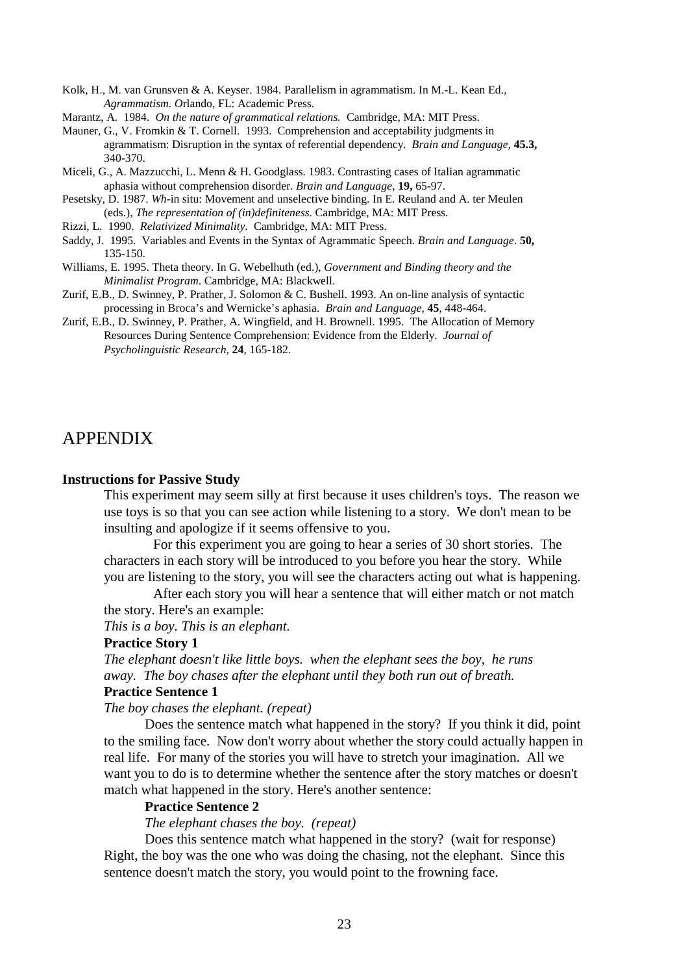Kolk, H., M. van Grunsven & A. Keyser. 1984. Parallelism in agrammatism. In M.-L. Kean Ed., *Agrammatism. O*rlando, FL: Academic Press.

Marantz, A. 1984. *On the nature of grammatical relations.* Cambridge, MA: MIT Press.

Mauner, G., V. Fromkin & T. Cornell. 1993. Comprehension and acceptability judgments in agrammatism: Disruption in the syntax of referential dependency. *Brain and Language,* **45.3,**  340-370.

Miceli, G., A. Mazzucchi, L. Menn & H. Goodglass. 1983. Contrasting cases of Italian agrammatic aphasia without comprehension disorder. *Brain and Language*, **19,** 65-97.

Pesetsky, D. 1987. *Wh*-in situ: Movement and unselective binding. In E. Reuland and A. ter Meulen (eds.), *The representation of (in)definiteness*. Cambridge, MA: MIT Press.

- Rizzi, L. 1990. *Relativized Minimality.* Cambridge, MA: MIT Press.
- Saddy, J. 1995. Variables and Events in the Syntax of Agrammatic Speech. *Brain and Language*. **50,** 135-150.
- Williams, E. 1995. Theta theory. In G. Webelhuth (ed.), *Government and Binding theory and the Minimalist Program*. Cambridge, MA: Blackwell.
- Zurif, E.B., D. Swinney, P. Prather, J. Solomon & C. Bushell. 1993. An on-line analysis of syntactic processing in Broca's and Wernicke's aphasia. *Brain and Language*, **45**, 448-464.
- Zurif, E.B., D. Swinney, P. Prather, A. Wingfield, and H. Brownell. 1995. The Allocation of Memory Resources During Sentence Comprehension: Evidence from the Elderly. *Journal of Psycholinguistic Research,* **24**, 165-182.

# APPENDIX

#### **Instructions for Passive Study**

This experiment may seem silly at first because it uses children's toys. The reason we use toys is so that you can see action while listening to a story. We don't mean to be insulting and apologize if it seems offensive to you.

 For this experiment you are going to hear a series of 30 short stories. The characters in each story will be introduced to you before you hear the story. While you are listening to the story, you will see the characters acting out what is happening.

 After each story you will hear a sentence that will either match or not match the story. Here's an example:

*This is a boy. This is an elephant.* 

### **Practice Story 1**

*The elephant doesn't like little boys. when the elephant sees the boy, he runs away. The boy chases after the elephant until they both run out of breath.* 

# **Practice Sentence 1**

*The boy chases the elephant. (repeat)* 

Does the sentence match what happened in the story? If you think it did, point to the smiling face. Now don't worry about whether the story could actually happen in real life. For many of the stories you will have to stretch your imagination. All we want you to do is to determine whether the sentence after the story matches or doesn't match what happened in the story. Here's another sentence:

#### **Practice Sentence 2**

*The elephant chases the boy. (repeat)* 

Does this sentence match what happened in the story? (wait for response) Right, the boy was the one who was doing the chasing, not the elephant. Since this sentence doesn't match the story, you would point to the frowning face.